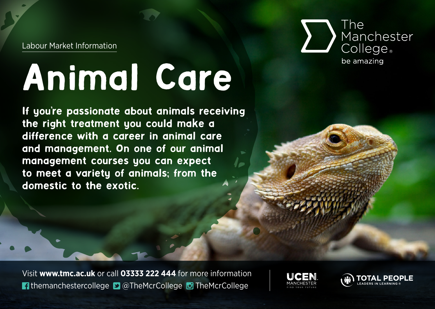Labour Market Information

## Animal Care

If you're passionate about animals receiving the right treatment you could make a difference with a career in animal care and management. On one of our animal management courses you can expect to meet a variety of animals; from the domestic to the exotic.



Visit **www.tmc.ac.uk** or call **03333 222 444** for more information themanchestercollege ■ @TheMcrCollege © TheMcrCollege